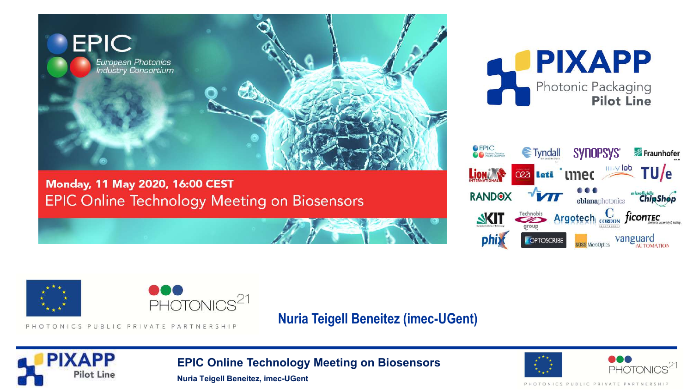

Monday, 11 May 2020, 16:00 CEST **EPIC Online Technology Meeting on Biosensors** 







PHOTONICS PUBLIC PRIVATE PARTNERSHI

**Nuria Teigell Beneitez (imec-UGent)**



**EPIC Online Technology Meeting on Biosensors**



**Nuria Teigell Beneitez, imec-UGent**

PHOTONICS PUBLIC PRIVATE PARTNERSHI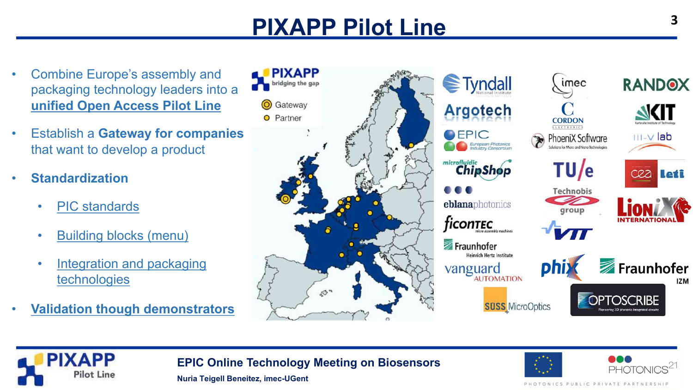# **PIXAPP Pilot Line**

- Combine Europe's assembly and packaging technology leaders into a **unified Open Access Pilot Line**
- Establish a **Gateway for companies**  that want to develop a product
- **Standardization**
	- PIC standards
	- Building blocks (menu)
	- Integration and packaging technologies
- **Validation though demonstrators**





**EPIC Online Technology Meeting on Biosensors**

**Nuria Teigell Beneitez, imec-UGent**



PHOTONICS PUBLIC PRIVATE PARTNERSHI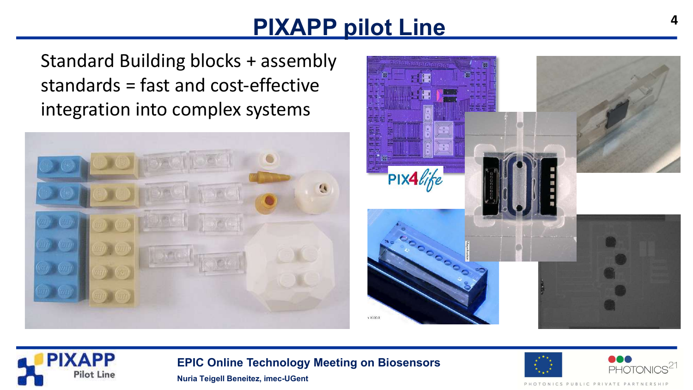## **PIXAPP pilot Line**

Standard Building blocks + assembly standards = fast and cost-effective integration into complex systems







**EPIC Online Technology Meeting on Biosensors**



ICS PUBLIC PR

**Nuria Teigell Beneitez, imec-UGent**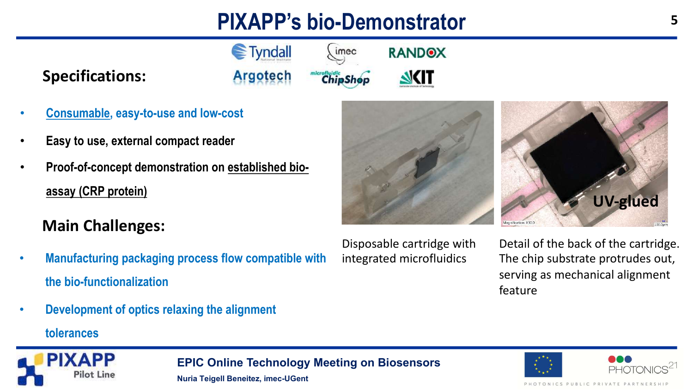# **PIXAPP's bio-Demonstrator**

imec

**ChipShop** 

**€**Tyndall

**Argotech** 

#### **Specifications:**

- **Consumable, easy-to-use and low-cost**
- **Easy to use, external compact reader**
- **Proof-of-concept demonstration on established bioassay (CRP protein)**

### **Main Challenges:**

- **Manufacturing packaging process flow compatible with the bio-functionalization**
- **Development of optics relaxing the alignment**

#### **tolerances**



Disposable cartridge with integrated microfluidics

**RANDOX** 

**NKIT** 

Detail of the back of the cartridge. The chip substrate protrudes out, serving as mechanical alignment feature





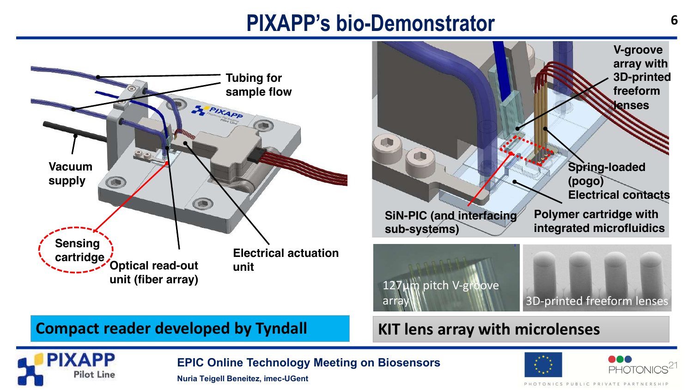## **PIXAPP's bio-Demonstrator** 6



**Nuria Teigell Beneitez, imec-UGent**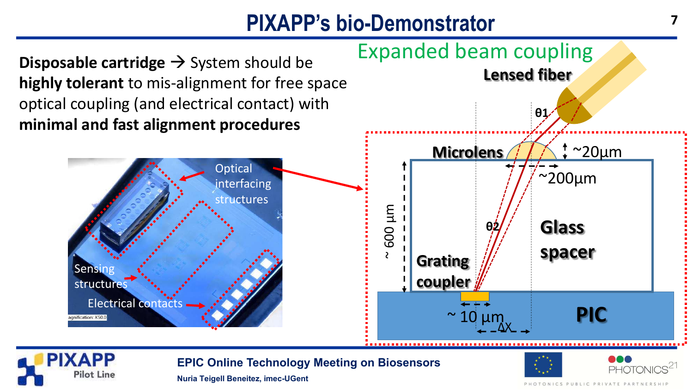## **PIXAPP's bio-Demonstrator**





**EPIC Online Technology Meeting on Biosensors**



**Nuria Teigell Beneitez, imec-UGent**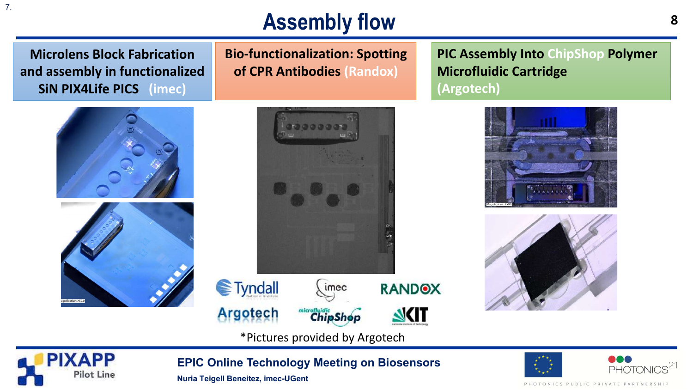**Microlens Block Fabrication and assembly in functionalized SiN PIX4Life PICS (imec)**





**Bio-functionalization: Spotting of CPR Antibodies (Randox)**

**PIC Assembly Into ChipShop Polymer Microfluidic Cartridge (Argotech)**

**8**







\*Pictures provided by Argotech



**EPIC Online Technology Meeting on Biosensors**

**Nuria Teigell Beneitez, imec-UGent**



PHOTONICS PUBLIC PRIVATE PARTNERSHIP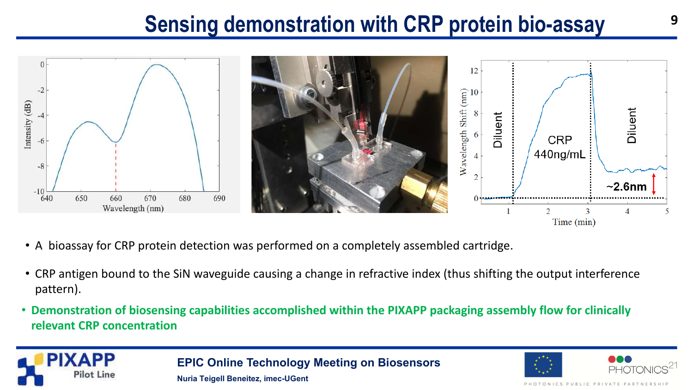## **Sensing demonstration with CRP protein bio-assay**



- A bioassay for CRP protein detection was performed on a completely assembled cartridge.
- CRP antigen bound to the SiN waveguide causing a change in refractive index (thus shifting the output interference pattern).
- **Demonstration of biosensing capabilities accomplished within the PIXAPP packaging assembly flow for clinically relevant CRP concentration**



**EPIC Online Technology Meeting on Biosensors Nuria Teigell Beneitez, imec-UGent**



*FONICS PUBLIC PR*